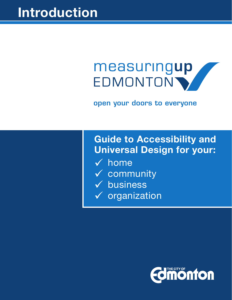# measuringup EDMONTON'

open your doors to everyone

# **Guide to Accessibility and Universal Design for your:**

- $\sqrt{\ }$  home
- $\checkmark$  community
- $\checkmark$  business
- $\checkmark$  organization

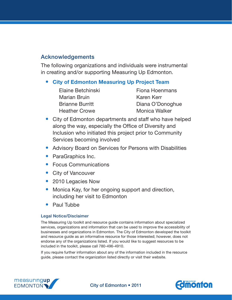#### Acknowledgements

The following organizations and individuals were instrumental in creating and/or supporting Measuring Up Edmonton.

#### **City of Edmonton Measuring Up Project Team**

| Elaine Betchinski      |
|------------------------|
| <b>Marian Bruin</b>    |
| <b>Brianne Burritt</b> |
| <b>Heather Crowe</b>   |

Fiona Hoenmans Karen Kerr Diana O'Donoghue Monica Walker

- City of Edmonton departments and staff who have helped along the way, especially the Office of Diversity and Inclusion who initiated this project prior to Community Services becoming involved
- Advisory Board on Services for Persons with Disabilities
- ParaGraphics Inc.
- Focus Communications
- City of Vancouver
- 2010 Legacies Now
- Monica Kay, for her ongoing support and direction, including her visit to Edmonton
- **Paul Tubbe**

#### Legal Notice/Disclaimer

The Measuring Up toolkit and resource guide contains information about specialized services, organizations and information that can be used to improve the accessibility of businesses and organizations in Edmonton. The City of Edmonton developed the toolkit and resource guide as an informative resource for those interested; however, does not endorse any of the organizations listed. If you would like to suggest resources to be included in the toolkit, please call 780-496-4910.

If you require further information about any of the information included in the resource guide, please contact the organization listed directly or visit their website.





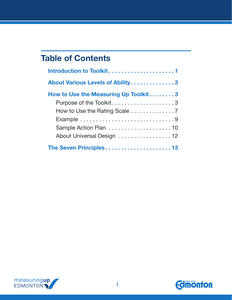# **Table of Contents**

| About Various Levels of Ability3     |
|--------------------------------------|
| How to Use the Measuring Up Toolkit3 |
| Purpose of the Toolkit3              |
|                                      |
|                                      |
| Sample Action Plan 10                |
| About Universal Design 12            |
|                                      |



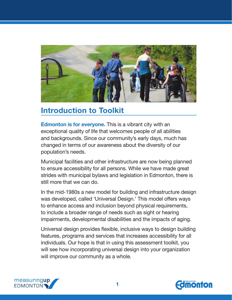<span id="page-4-0"></span>

# **Introduction to Toolkit**

**Edmonton is for everyone.** This is a vibrant city with an exceptional quality of life that welcomes people of all abilities and backgrounds. Since our community's early days, much has changed in terms of our awareness about the diversity of our population's needs.

Municipal facilities and other infrastructure are now being planned to ensure accessibility for all persons. While we have made great strides with municipal bylaws and legislation in Edmonton, there is still more that we can do.

In the mid-1980s a new model for building and infrastructure design was developed, called 'Universal Design.' This model offers ways to enhance access and inclusion beyond physical requirements, to include a broader range of needs such as sight or hearing impairments, developmental disabilities and the impacts of aging.

Universal design provides flexible, inclusive ways to design building features, programs and services that increases accessibility for all individuals. Our hope is that in using this assessment toolkit, you will see how incorporating universal design into your organization will improve our community as a whole.



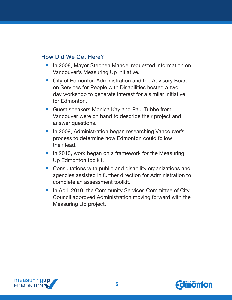#### How Did We Get Here?

- In 2008, Mayor Stephen Mandel requested information on Vancouver's Measuring Up initiative.
- City of Edmonton Administration and the Advisory Board on Services for People with Disabilities hosted a two day workshop to generate interest for a similar initiative for Edmonton.
- Guest speakers Monica Kay and Paul Tubbe from Vancouver were on hand to describe their project and answer questions.
- In 2009, Administration began researching Vancouver's process to determine how Edmonton could follow their lead.
- In 2010, work began on a framework for the Measuring Up Edmonton toolkit.
- Consultations with public and disability organizations and agencies assisted in further direction for Administration to complete an assessment toolkit.
- In April 2010, the Community Services Committee of City Council approved Administration moving forward with the Measuring Up project.



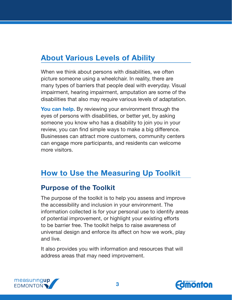# <span id="page-6-0"></span>**About Various Levels of Ability**

When we think about persons with disabilities, we often picture someone using a wheelchair. In reality, there are many types of barriers that people deal with everyday. Visual impairment, hearing impairment, amputation are some of the disabilities that also may require various levels of adaptation.

**You can help.** By reviewing your environment through the eyes of persons with disabilities, or better yet, by asking someone you know who has a disability to join you in your review, you can find simple ways to make a big difference. Businesses can attract more customers, community centers can engage more participants, and residents can welcome more visitors.

# **How to Use the Measuring Up Toolkit**

### **Purpose of the Toolkit**

The purpose of the toolkit is to help you assess and improve the accessibility and inclusion in your environment. The information collected is for your personal use to identify areas of potential improvement, or highlight your existing efforts to be barrier free. The toolkit helps to raise awareness of universal design and enforce its affect on how we work, play and live.

It also provides you with information and resources that will address areas that may need improvement.



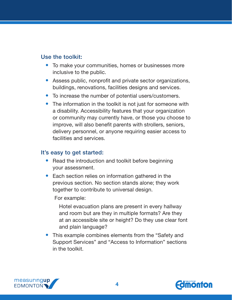#### Use the toolkit:

- To make your communities, homes or businesses more inclusive to the public.
- Assess public, nonprofit and private sector organizations, buildings, renovations, facilities designs and services.
- To increase the number of potential users/customers.
- The information in the toolkit is not just for someone with a disability. Accessibility features that your organization or community may currently have, or those you choose to improve, will also benefit parents with strollers, seniors, delivery personnel, or anyone requiring easier access to facilities and services.

#### It's easy to get started:

- Read the introduction and toolkit before beginning your assessment.
- Each section relies on information gathered in the previous section. No section stands alone; they work together to contribute to universal design.

For example:

Hotel evacuation plans are present in every hallway and room but are they in multiple formats? Are they at an accessible site or height? Do they use clear font and plain language?

• This example combines elements from the "Safety and Support Services" and "Access to Information" sections in the toolkit.



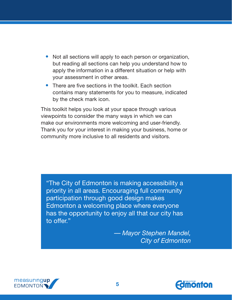- Not all sections will apply to each person or organization, but reading all sections can help you understand how to apply the information in a different situation or help with your assessment in other areas.
- There are five sections in the toolkit. Each section contains many statements for you to measure, indicated by the check mark icon.

This toolkit helps you look at your space through various viewpoints to consider the many ways in which we can make our environments more welcoming and user-friendly. Thank you for your interest in making your business, home or community more inclusive to all residents and visitors.

"The City of Edmonton is making accessibility a priority in all areas. Encouraging full community participation through good design makes Edmonton a welcoming place where everyone has the opportunity to enjoy all that our city has to offer."

> — *Mayor Stephen Mandel, City of Edmonton*



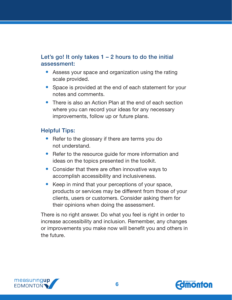#### Let's go! It only takes  $1 - 2$  hours to do the initial assessment:

- Assess your space and organization using the rating scale provided.
- Space is provided at the end of each statement for your notes and comments.
- There is also an Action Plan at the end of each section where you can record your ideas for any necessary improvements, follow up or future plans.

#### Helpful Tips:

- Refer to the glossary if there are terms you do not understand.
- Refer to the resource quide for more information and ideas on the topics presented in the toolkit.
- Consider that there are often innovative ways to accomplish accessibility and inclusiveness.
- Keep in mind that your perceptions of your space, products or services may be different from those of your clients, users or customers. Consider asking them for their opinions when doing the assessment.

There is no right answer. Do what you feel is right in order to increase accessibility and inclusion. Remember, any changes or improvements you make now will benefit you and others in the future.



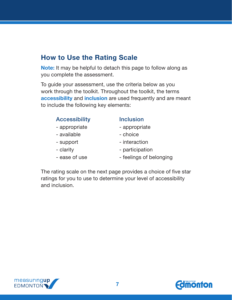### <span id="page-10-0"></span>**How to Use the Rating Scale**

**Note:** It may be helpful to detach this page to follow along as you complete the assessment.

To guide your assessment, use the criteria below as you work through the toolkit. Throughout the toolkit, the terms **accessibility** and **inclusion** are used frequently and are meant to include the following key elements:

| <b>Accessibility</b> |  |
|----------------------|--|
|                      |  |

- 
- available  $\overline{\phantom{a}}$  choice
- 
- 
- 
- **Inclusion**
- appropriate  $\qquad \qquad$  appropriate
	-
- support interaction
- clarity  **participation**
- ease of use  $-$  feelings of belonging

The rating scale on the next page provides a choice of five star ratings for you to use to determine your level of accessibility and inclusion.



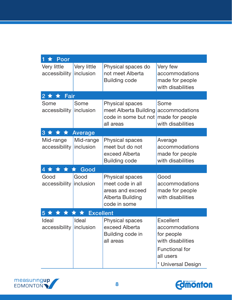| Poor<br>1                       |                                  |                                                                                                      |                                                                                                                                   |  |  |
|---------------------------------|----------------------------------|------------------------------------------------------------------------------------------------------|-----------------------------------------------------------------------------------------------------------------------------------|--|--|
| Very little<br>accessibility    | Very little<br>inclusion         | Physical spaces do<br>not meet Alberta<br><b>Building code</b>                                       | Very few<br>accommodations<br>made for people<br>with disabilities                                                                |  |  |
| $2 \star \star$ Fair            |                                  |                                                                                                      |                                                                                                                                   |  |  |
| Some<br>accessibility inclusion | Some                             | <b>Physical spaces</b><br>meet Alberta Building<br>code in some but not made for people<br>all areas | Some<br>accommodations<br>with disabilities                                                                                       |  |  |
| 3 * * *<br><b>Average</b>       |                                  |                                                                                                      |                                                                                                                                   |  |  |
| Mid-range<br>accessibility      | Mid-range<br>inclusion           | <b>Physical spaces</b><br>meet but do not<br>exceed Alberta<br><b>Building code</b>                  | Average<br>accommodations<br>made for people<br>with disabilities                                                                 |  |  |
| <b>x * * * Good</b><br>4        |                                  |                                                                                                      |                                                                                                                                   |  |  |
| Good<br>accessibility inclusion | Good                             | <b>Physical spaces</b><br>meet code in all<br>areas and exceed<br>Alberta Building<br>code in some   | Good<br>accommodations<br>made for people<br>with disabilities                                                                    |  |  |
| <b>Excellent</b><br>5<br>★ ★    |                                  |                                                                                                      |                                                                                                                                   |  |  |
| Ideal<br>accessibility          | <b>Ideal</b><br><i>inclusion</i> | <b>Physical spaces</b><br>exceed Alberta<br>Building code in<br>all areas                            | <b>Excellent</b><br>accommodations<br>for people<br>with disabilities<br><b>Functional for</b><br>all users<br>* Universal Design |  |  |



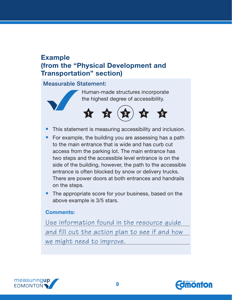### <span id="page-12-0"></span>**Example (from the "Physical Development and Transportation" section)**

#### Measurable Statement:

Human-made structures incorporate the highest degree of accessibility.



- This statement is measuring accessibility and inclusion.
- For example, the building you are assessing has a path to the main entrance that is wide and has curb cut access from the parking lot. The main entrance has two steps and the accessible level entrance is on the side of the building, however, the path to the accessible entrance is often blocked by snow or delivery trucks. There are power doors at both entrances and handrails on the steps.
- The appropriate score for your business, based on the above example is 3/5 stars.

#### **Comments:**

Use information found in the resource guide and fill out the action plan to see if and how we might need to improve.



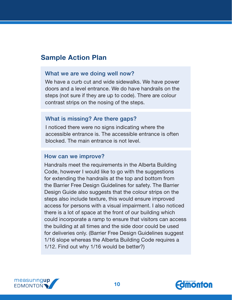### <span id="page-13-0"></span>**Sample Action Plan**

#### What we are we doing well now?

We have a curb cut and wide sidewalks. We have power doors and a level entrance. We do have handrails on the steps (not sure if they are up to code). There are colour contrast strips on the nosing of the steps.

#### What is missing? Are there gaps?

I noticed there were no signs indicating where the accessible entrance is. The accessible entrance is often blocked. The main entrance is not level.

#### How can we improve?

Handrails meet the requirements in the Alberta Building Code, however I would like to go with the suggestions for extending the handrails at the top and bottom from the Barrier Free Design Guidelines for safety. The Barrier Design Guide also suggests that the colour strips on the steps also include texture, this would ensure improved access for persons with a visual impairment. I also noticed there is a lot of space at the front of our building which could incorporate a ramp to ensure that visitors can access the building at all times and the side door could be used for deliveries only. (Barrier Free Design Guidelines suggest 1/16 slope whereas the Alberta Building Code requires a 1/12. Find out why 1/16 would be better?)



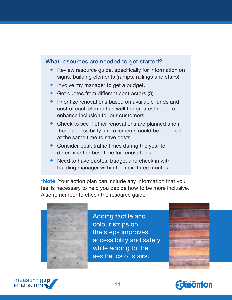#### What resources are needed to get started?

- Review resource guide, specifically for information on signs, building elements (ramps, railings and stairs).
- Involve my manager to get a budget.
- Get quotes from different contractors (3).
- **Prioritize renovations based on available funds and** cost of each element as well the greatest need to enhance inclusion for our customers.
- Check to see if other renovations are planned and if these accessibility improvements could be included at the same time to save costs.
- Consider peak traffic times during the year to determine the best time for renovations.
- Need to have quotes, budget and check in with building manager within the next three months.

**\*Note:** Your action plan can include any information that you feel is necessary to help you decide how to be more inclusive. Also remember to check the resource guide!



Adding tactile and colour strips on the steps improves accessibility and safety while adding to the aesthetics of stairs.





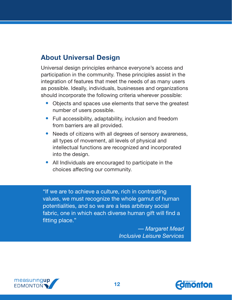## <span id="page-15-0"></span>**About Universal Design**

Universal design principles enhance everyone's access and participation in the community. These principles assist in the integration of features that meet the needs of as many users as possible. Ideally, individuals, businesses and organizations should incorporate the following criteria wherever possible:

- Objects and spaces use elements that serve the greatest number of users possible.
- Full accessibility, adaptability, inclusion and freedom from barriers are all provided.
- Needs of citizens with all degrees of sensory awareness, all types of movement, all levels of physical and intellectual functions are recognized and incorporated into the design.
- All Individuals are encouraged to participate in the choices affecting our community.

"If we are to achieve a culture, rich in contrasting values, we must recognize the whole gamut of human potentialities, and so we are a less arbitrary social fabric, one in which each diverse human gift will find a fitting place."

> *— Margaret Mead Inclusive Leisure Services*



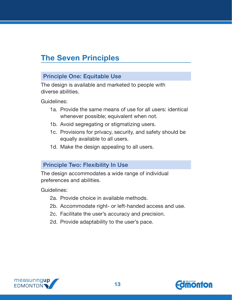# <span id="page-16-0"></span>**The Seven Principles**

#### Principle One: Equitable Use

The design is available and marketed to people with diverse abilities.

Guidelines:

- 1a. Provide the same means of use for all users: identical whenever possible; equivalent when not.
- 1b. Avoid segregating or stigmatizing users.
- 1c. Provisions for privacy, security, and safety should be equally available to all users.
- 1d. Make the design appealing to all users.

#### Principle Two: Flexibility In Use

The design accommodates a wide range of individual preferences and abilities.

Guidelines:

- 2a. Provide choice in available methods.
- 2b. Accommodate right- or left-handed access and use.
- 2c. Facilitate the user's accuracy and precision.
- 2d. Provide adaptability to the user's pace.



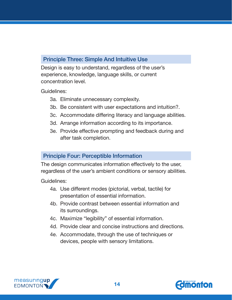#### Principle Three: Simple And Intuitive Use

Design is easy to understand, regardless of the user's experience, knowledge, language skills, or current concentration level.

Guidelines:

- 3a. Eliminate unnecessary complexity.
- 3b. Be consistent with user expectations and intuition?.
- 3c. Accommodate differing literacy and language abilities.
- 3d. Arrange information according to its importance.
- 3e. Provide effective prompting and feedback during and after task completion.

#### Principle Four: Perceptible Information

The design communicates information effectively to the user, regardless of the user's ambient conditions or sensory abilities.

Guidelines:

- 4a. Use different modes (pictorial, verbal, tactile) for presentation of essential information.
- 4b. Provide contrast between essential information and its surroundings.
- 4c. Maximize "legibility" of essential information.
- 4d. Provide clear and concise instructions and directions.
- 4e. Accommodate, through the use of techniques or devices, people with sensory limitations.



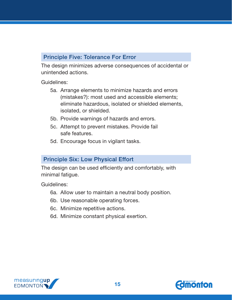#### Principle Five: Tolerance For Error

The design minimizes adverse consequences of accidental or unintended actions.

Guidelines:

- 5a. Arrange elements to minimize hazards and errors (mistakes?): most used and accessible elements; eliminate hazardous, isolated or shielded elements, isolated, or shielded.
- 5b. Provide warnings of hazards and errors.
- 5c. Attempt to prevent mistakes. Provide fail safe features.
- 5d. Encourage focus in vigilant tasks.

#### Principle Six: Low Physical Effort

The design can be used efficiently and comfortably, with minimal fatigue.

Guidelines:

- 6a. Allow user to maintain a neutral body position.
- 6b. Use reasonable operating forces.
- 6c. Minimize repetitive actions.
- 6d. Minimize constant physical exertion.



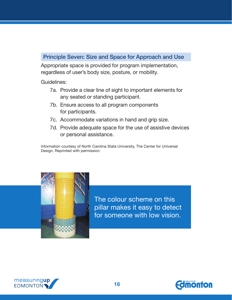#### Principle Seven: Size and Space for Approach and Use

Appropriate space is provided for program implementation, regardless of user's body size, posture, or mobility.

Guidelines:

- 7a. Provide a clear line of sight to important elements for any seated or standing participant.
- 7b. Ensure access to all program components for participants.
- 7c. Accommodate variations in hand and grip size.
- 7d. Provide adequate space for the use of assistive devices or personal assistance.

Information courtesy of North Carolina State University, The Center for Universal Design. Reprinted with permission.



The colour scheme on this pillar makes it easy to detect for someone with low vision.



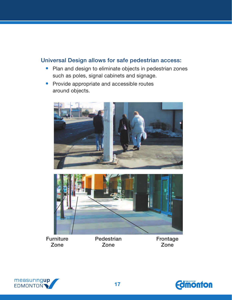#### Universal Design allows for safe pedestrian access:

- Plan and design to eliminate objects in pedestrian zones such as poles, signal cabinets and signage.
- Provide appropriate and accessible routes around objects.





**Furniture** Zone

**Pedestrian** Zone

Frontage Zone